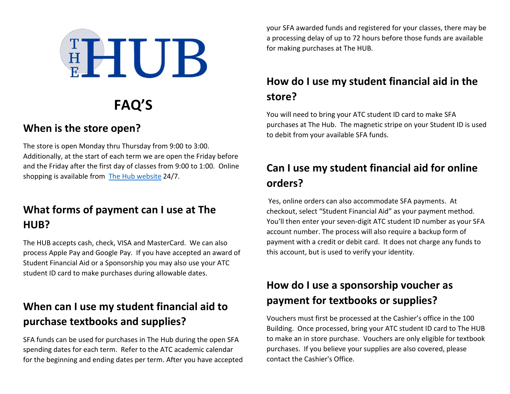

# FAQ'S

#### When is the store open?

The store is open Monday thru Thursday from 9:00 to 3:00. Additionally, at the start of each term we are open the Friday before and the Friday after the first day of classes from 9:00 to 1:00. Online shopping is available from The Hub website 24/7.

# What forms of payment can I use at The HUB?

The HUB accepts cash, check, VISA and MasterCard. We can also process Apple Pay and Google Pay. If you have accepted an award of Student Financial Aid or a Sponsorship you may also use your ATC student ID card to make purchases during allowable dates.

### When can I use my student financial aid to purchase textbooks and supplies?

SFA funds can be used for purchases in The Hub during the open SFA spending dates for each term. Refer to the ATC academic calendar for the beginning and ending dates per term. After you have accepted your SFA awarded funds and registered for your classes, there may be a processing delay of up to 72 hours before those funds are available for making purchases at The HUB.

# How do I use my student financial aid in the store?

You will need to bring your ATC student ID card to make SFA purchases at The Hub. The magnetic stripe on your Student ID is used to debit from your available SFA funds.

# Can I use my student financial aid for online orders?

 Yes, online orders can also accommodate SFA payments. At checkout, select "Student Financial Aid" as your payment method. You'll then enter your seven-digit ATC student ID number as your SFA account number. The process will also require a backup form of payment with a credit or debit card. It does not charge any funds to this account, but is used to verify your identity.

# How do I use a sponsorship voucher as payment for textbooks or supplies?

Vouchers must first be processed at the Cashier's office in the 100 Building. Once processed, bring your ATC student ID card to The HUB to make an in store purchase. Vouchers are only eligible for textbook purchases. If you believe your supplies are also covered, please contact the Cashier's Office.